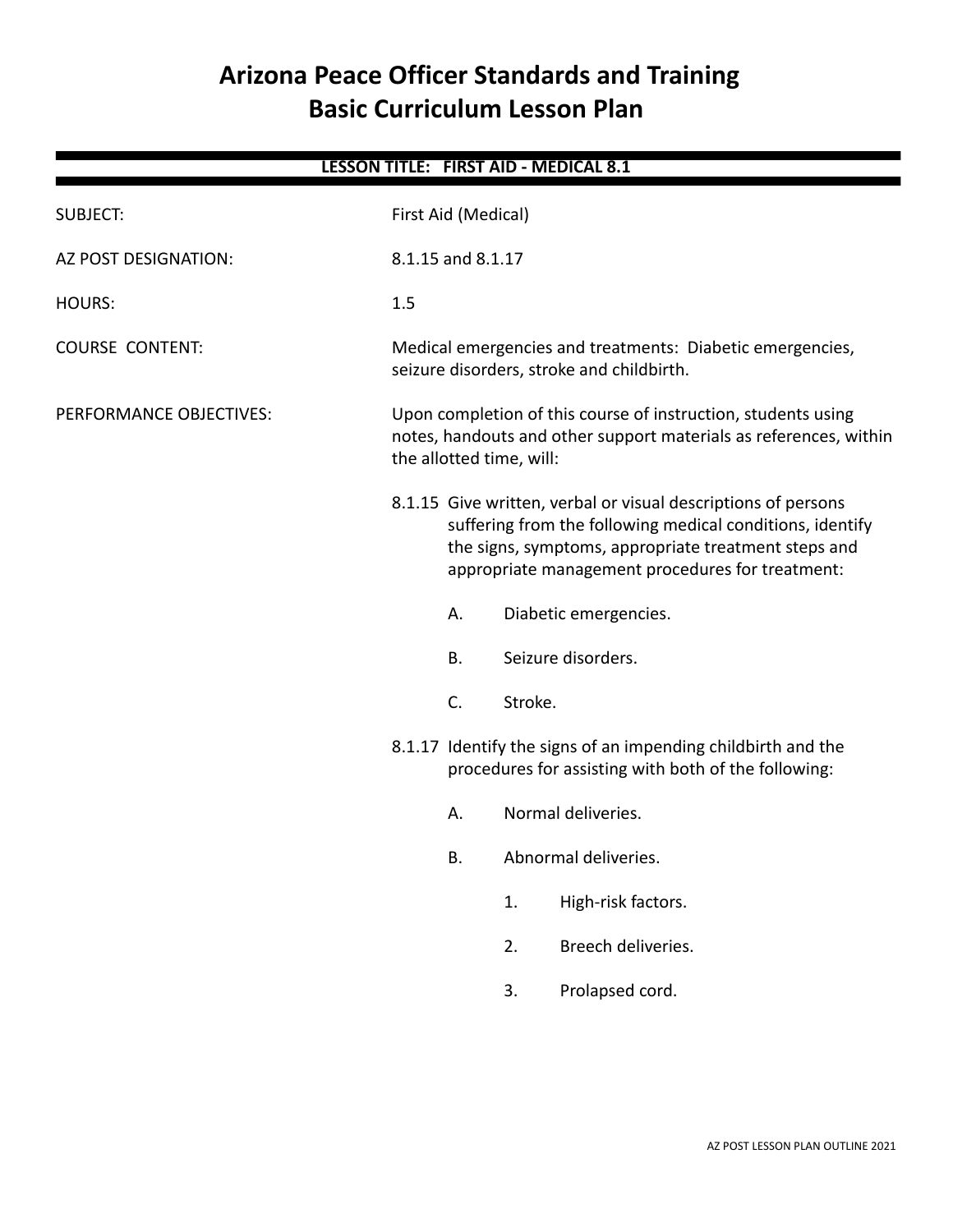# **Arizona Peace Officer Standards and Training Basic Curriculum Lesson Plan**

| <b>LESSON TITLE: FIRST AID - MEDICAL 8.1</b> |                                                                               |                                                                                                                                                                                                                                        |                                                      |                       |  |  |  |
|----------------------------------------------|-------------------------------------------------------------------------------|----------------------------------------------------------------------------------------------------------------------------------------------------------------------------------------------------------------------------------------|------------------------------------------------------|-----------------------|--|--|--|
| <b>SUBJECT:</b>                              |                                                                               | First Aid (Medical)                                                                                                                                                                                                                    |                                                      |                       |  |  |  |
| AZ POST DESIGNATION:                         |                                                                               | 8.1.15 and 8.1.17                                                                                                                                                                                                                      |                                                      |                       |  |  |  |
| <b>HOURS:</b>                                | 1.5                                                                           |                                                                                                                                                                                                                                        |                                                      |                       |  |  |  |
| <b>COURSE CONTENT:</b>                       |                                                                               | Medical emergencies and treatments: Diabetic emergencies,<br>seizure disorders, stroke and childbirth.                                                                                                                                 |                                                      |                       |  |  |  |
| PERFORMANCE OBJECTIVES:                      |                                                                               | Upon completion of this course of instruction, students using<br>notes, handouts and other support materials as references, within<br>the allotted time, will:                                                                         |                                                      |                       |  |  |  |
|                                              |                                                                               | 8.1.15 Give written, verbal or visual descriptions of persons<br>suffering from the following medical conditions, identify<br>the signs, symptoms, appropriate treatment steps and<br>appropriate management procedures for treatment: |                                                      |                       |  |  |  |
|                                              |                                                                               | Α.                                                                                                                                                                                                                                     |                                                      | Diabetic emergencies. |  |  |  |
|                                              |                                                                               | Β.                                                                                                                                                                                                                                     |                                                      | Seizure disorders.    |  |  |  |
|                                              | C.<br>Stroke.<br>8.1.17 Identify the signs of an impending childbirth and the |                                                                                                                                                                                                                                        |                                                      |                       |  |  |  |
|                                              |                                                                               |                                                                                                                                                                                                                                        | procedures for assisting with both of the following: |                       |  |  |  |
|                                              |                                                                               | Α.                                                                                                                                                                                                                                     |                                                      | Normal deliveries.    |  |  |  |
|                                              |                                                                               | В.                                                                                                                                                                                                                                     | Abnormal deliveries.                                 |                       |  |  |  |
|                                              |                                                                               |                                                                                                                                                                                                                                        | 1.                                                   | High-risk factors.    |  |  |  |
|                                              |                                                                               |                                                                                                                                                                                                                                        | 2.                                                   | Breech deliveries.    |  |  |  |
|                                              |                                                                               |                                                                                                                                                                                                                                        | 3.                                                   | Prolapsed cord.       |  |  |  |
|                                              |                                                                               |                                                                                                                                                                                                                                        |                                                      |                       |  |  |  |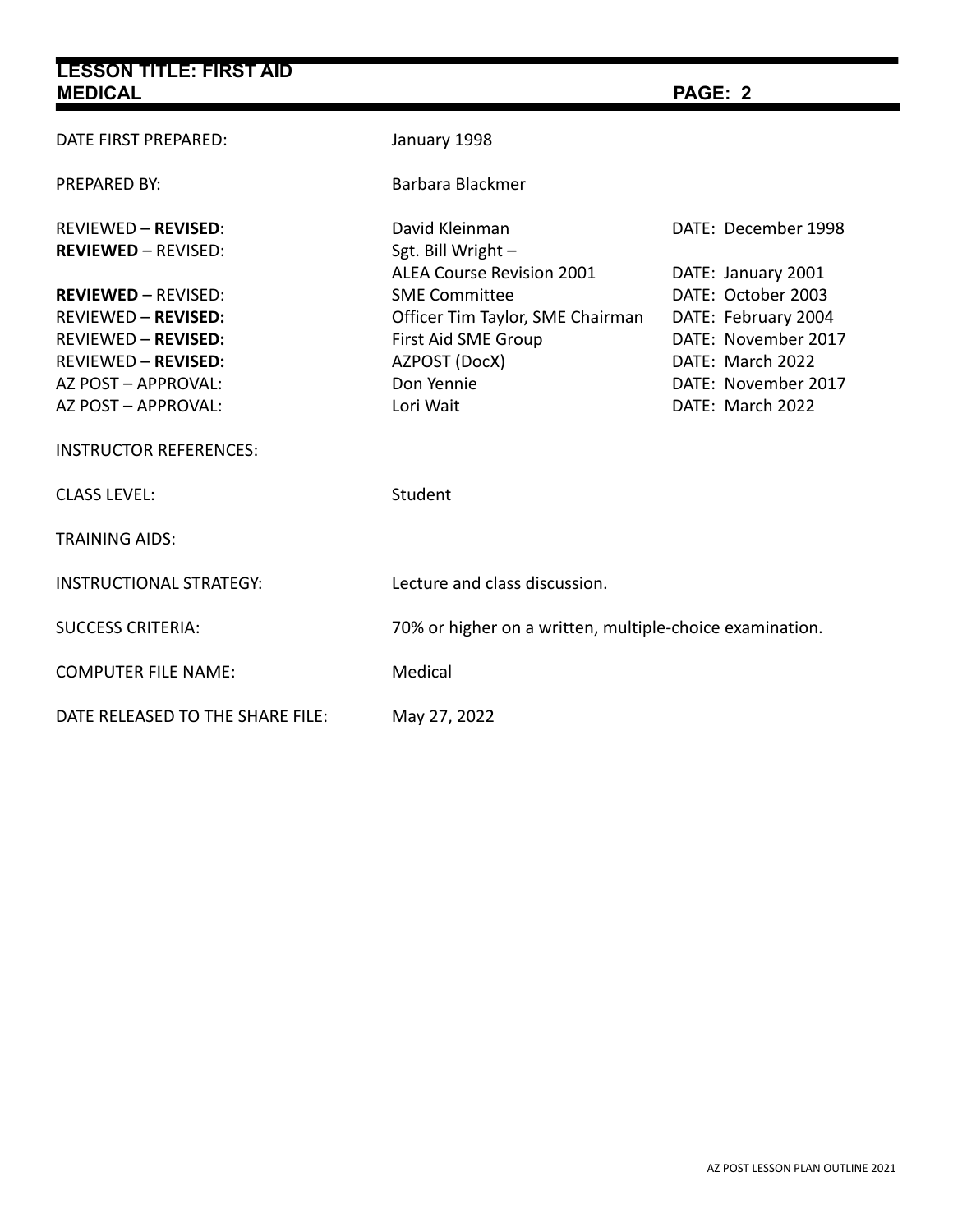| <b>LESSON TITLE: FIRST AID</b>                                                                                                                                     |                                                                                                                                                                 |                                                                                                                                                       |  |  |
|--------------------------------------------------------------------------------------------------------------------------------------------------------------------|-----------------------------------------------------------------------------------------------------------------------------------------------------------------|-------------------------------------------------------------------------------------------------------------------------------------------------------|--|--|
| <b>MEDICAL</b>                                                                                                                                                     |                                                                                                                                                                 | PAGE: 2                                                                                                                                               |  |  |
| DATE FIRST PREPARED:                                                                                                                                               | January 1998                                                                                                                                                    |                                                                                                                                                       |  |  |
| <b>PREPARED BY:</b>                                                                                                                                                | Barbara Blackmer                                                                                                                                                |                                                                                                                                                       |  |  |
| <b>REVIEWED - REVISED:</b><br><b>REVIEWED - REVISED:</b>                                                                                                           | David Kleinman<br>Sgt. Bill Wright -                                                                                                                            | DATE: December 1998                                                                                                                                   |  |  |
| <b>REVIEWED - REVISED:</b><br><b>REVIEWED - REVISED:</b><br><b>REVIEWED - REVISED:</b><br><b>REVIEWED - REVISED:</b><br>AZ POST - APPROVAL:<br>AZ POST - APPROVAL: | <b>ALEA Course Revision 2001</b><br><b>SME Committee</b><br>Officer Tim Taylor, SME Chairman<br>First Aid SME Group<br>AZPOST (DocX)<br>Don Yennie<br>Lori Wait | DATE: January 2001<br>DATE: October 2003<br>DATE: February 2004<br>DATE: November 2017<br>DATE: March 2022<br>DATE: November 2017<br>DATE: March 2022 |  |  |
| <b>INSTRUCTOR REFERENCES:</b>                                                                                                                                      |                                                                                                                                                                 |                                                                                                                                                       |  |  |
| <b>CLASS LEVEL:</b>                                                                                                                                                | Student                                                                                                                                                         |                                                                                                                                                       |  |  |
| <b>TRAINING AIDS:</b>                                                                                                                                              |                                                                                                                                                                 |                                                                                                                                                       |  |  |
| <b>INSTRUCTIONAL STRATEGY:</b>                                                                                                                                     | Lecture and class discussion.                                                                                                                                   |                                                                                                                                                       |  |  |
| <b>SUCCESS CRITERIA:</b>                                                                                                                                           | 70% or higher on a written, multiple-choice examination.                                                                                                        |                                                                                                                                                       |  |  |
| <b>COMPUTER FILE NAME:</b>                                                                                                                                         | Medical                                                                                                                                                         |                                                                                                                                                       |  |  |
| DATE RELEASED TO THE SHARE FILE:                                                                                                                                   | May 27, 2022                                                                                                                                                    |                                                                                                                                                       |  |  |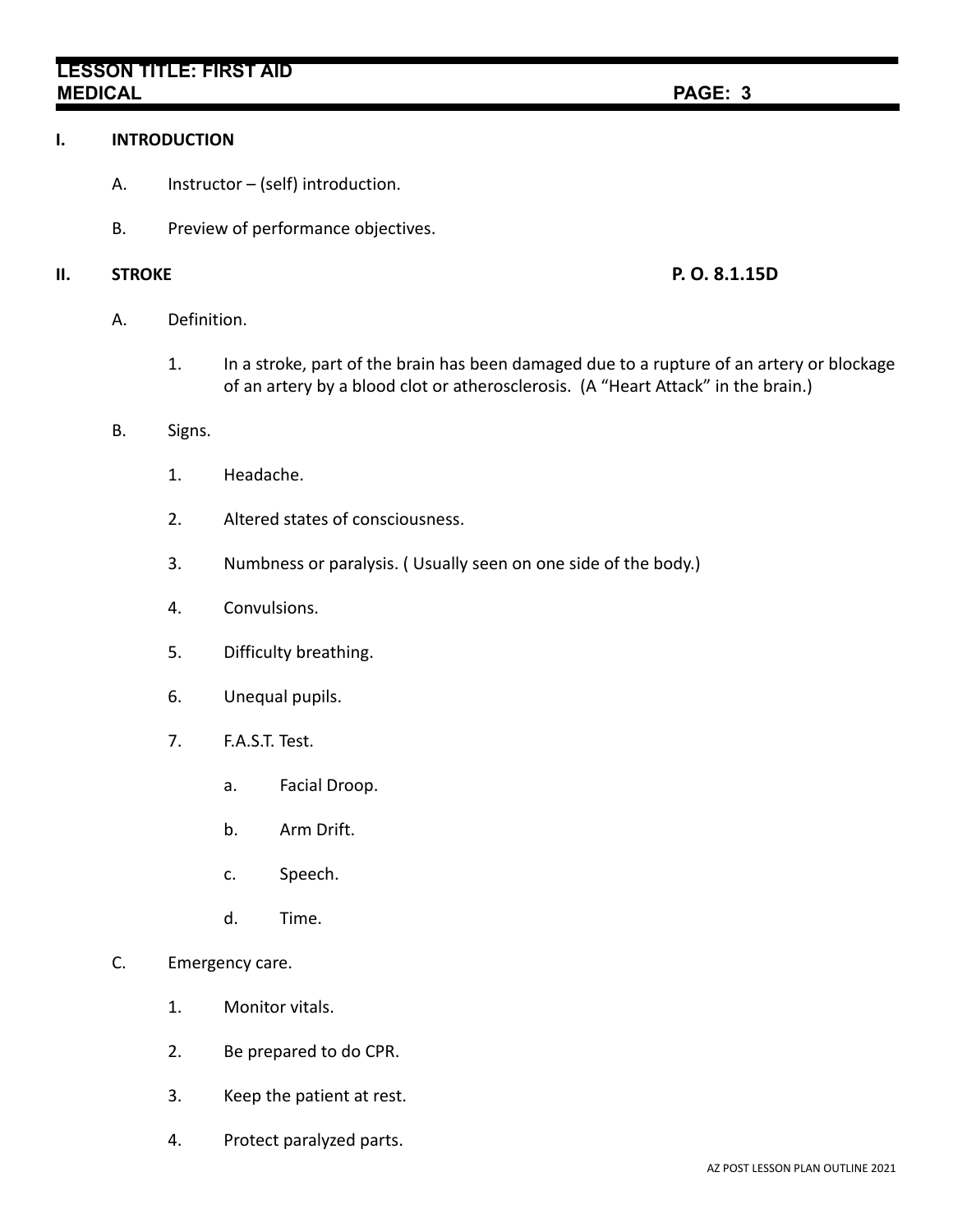# **LESSON TITLE: FIRST AID MEDICAL PAGE: 3**

### **I. INTRODUCTION**

- A. Instructor (self) introduction.
- B. Preview of performance objectives.

### **II. STROKE P. O. 8.1.15D**

- A. Definition.
	- 1. In a stroke, part of the brain has been damaged due to a rupture of an artery or blockage of an artery by a blood clot or atherosclerosis. (A "Heart Attack" in the brain.)
- B. Signs.
	- 1. Headache.
	- 2. Altered states of consciousness.
	- 3. Numbness or paralysis. ( Usually seen on one side of the body.)
	- 4. Convulsions.
	- 5. Difficulty breathing.
	- 6. Unequal pupils.
	- 7. F.A.S.T. Test.
		- a. Facial Droop.
		- b. Arm Drift.
		- c. Speech.
		- d. Time.
- C. Emergency care.
	- 1. Monitor vitals.
	- 2. Be prepared to do CPR.
	- 3. Keep the patient at rest.
	- 4. Protect paralyzed parts.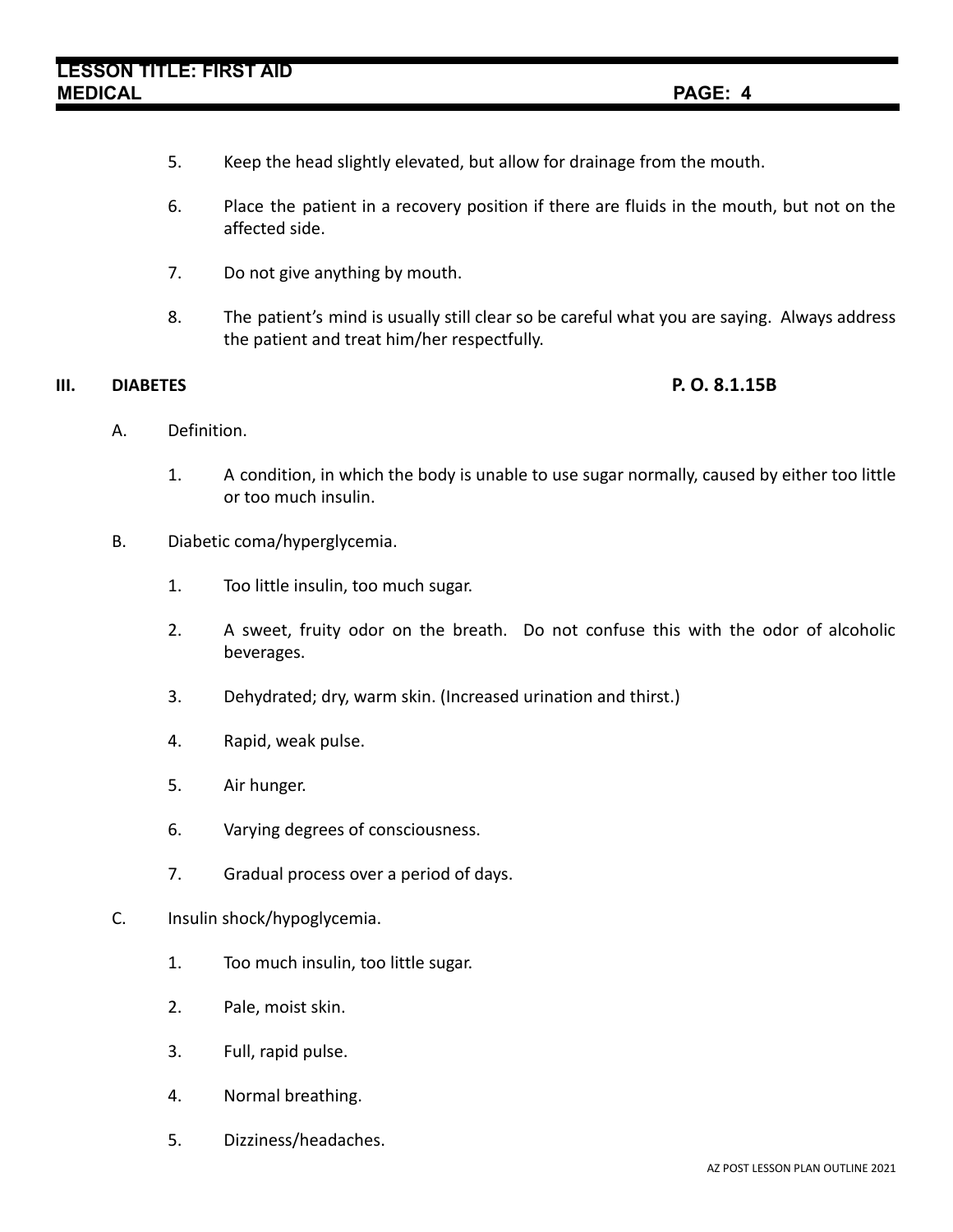- 5. Keep the head slightly elevated, but allow for drainage from the mouth.
- 6. Place the patient in a recovery position if there are fluids in the mouth, but not on the affected side.
- 7. Do not give anything by mouth.
- 8. The patient's mind is usually still clear so be careful what you are saying. Always address the patient and treat him/her respectfully.

### **III. DIABETES P. O. 8.1.15B**

- A. Definition.
	- 1. A condition, in which the body is unable to use sugar normally, caused by either too little or too much insulin.
- B. Diabetic coma/hyperglycemia.
	- 1. Too little insulin, too much sugar.
	- 2. A sweet, fruity odor on the breath. Do not confuse this with the odor of alcoholic beverages.
	- 3. Dehydrated; dry, warm skin. (Increased urination and thirst.)
	- 4. Rapid, weak pulse.
	- 5. Air hunger.
	- 6. Varying degrees of consciousness.
	- 7. Gradual process over a period of days.
- C. Insulin shock/hypoglycemia.
	- 1. Too much insulin, too little sugar.
	- 2. Pale, moist skin.
	- 3. Full, rapid pulse.
	- 4. Normal breathing.
	- 5. Dizziness/headaches.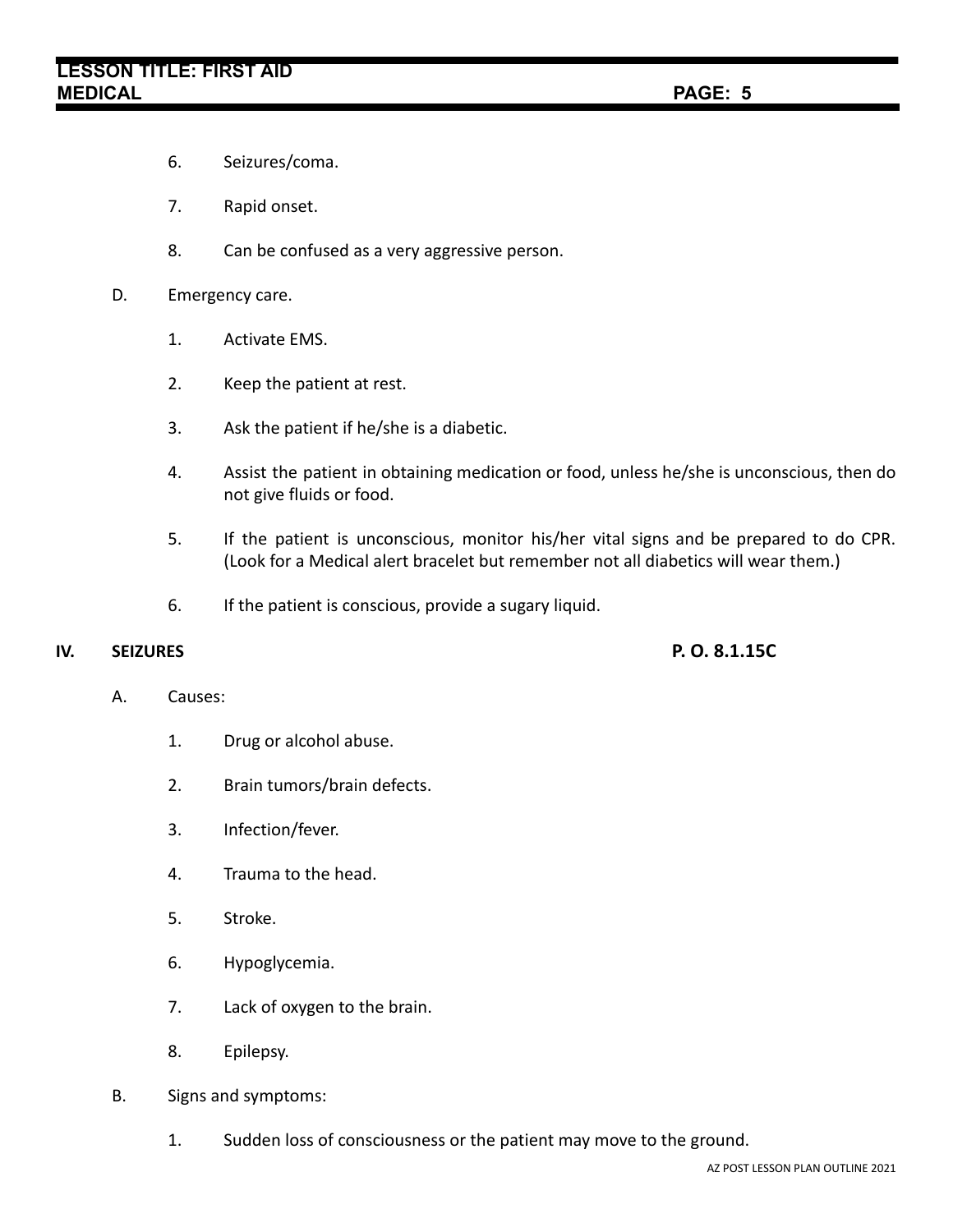- 6. Seizures/coma.
- 7. Rapid onset.
- 8. Can be confused as a very aggressive person.

### D. Emergency care.

- 1. Activate EMS.
- 2. Keep the patient at rest.
- 3. Ask the patient if he/she is a diabetic.
- 4. Assist the patient in obtaining medication or food, unless he/she is unconscious, then do not give fluids or food.
- 5. If the patient is unconscious, monitor his/her vital signs and be prepared to do CPR. (Look for a Medical alert bracelet but remember not all diabetics will wear them.)
- 6. If the patient is conscious, provide a sugary liquid.

### **IV. SEIZURES P. O. 8.1.15C**

### A. Causes:

- 1. Drug or alcohol abuse.
- 2. Brain tumors/brain defects.
- 3. Infection/fever.
- 4. Trauma to the head.
- 5. Stroke.
- 6. Hypoglycemia.
- 7. Lack of oxygen to the brain.
- 8. Epilepsy.
- B. Signs and symptoms:
	- 1. Sudden loss of consciousness or the patient may move to the ground.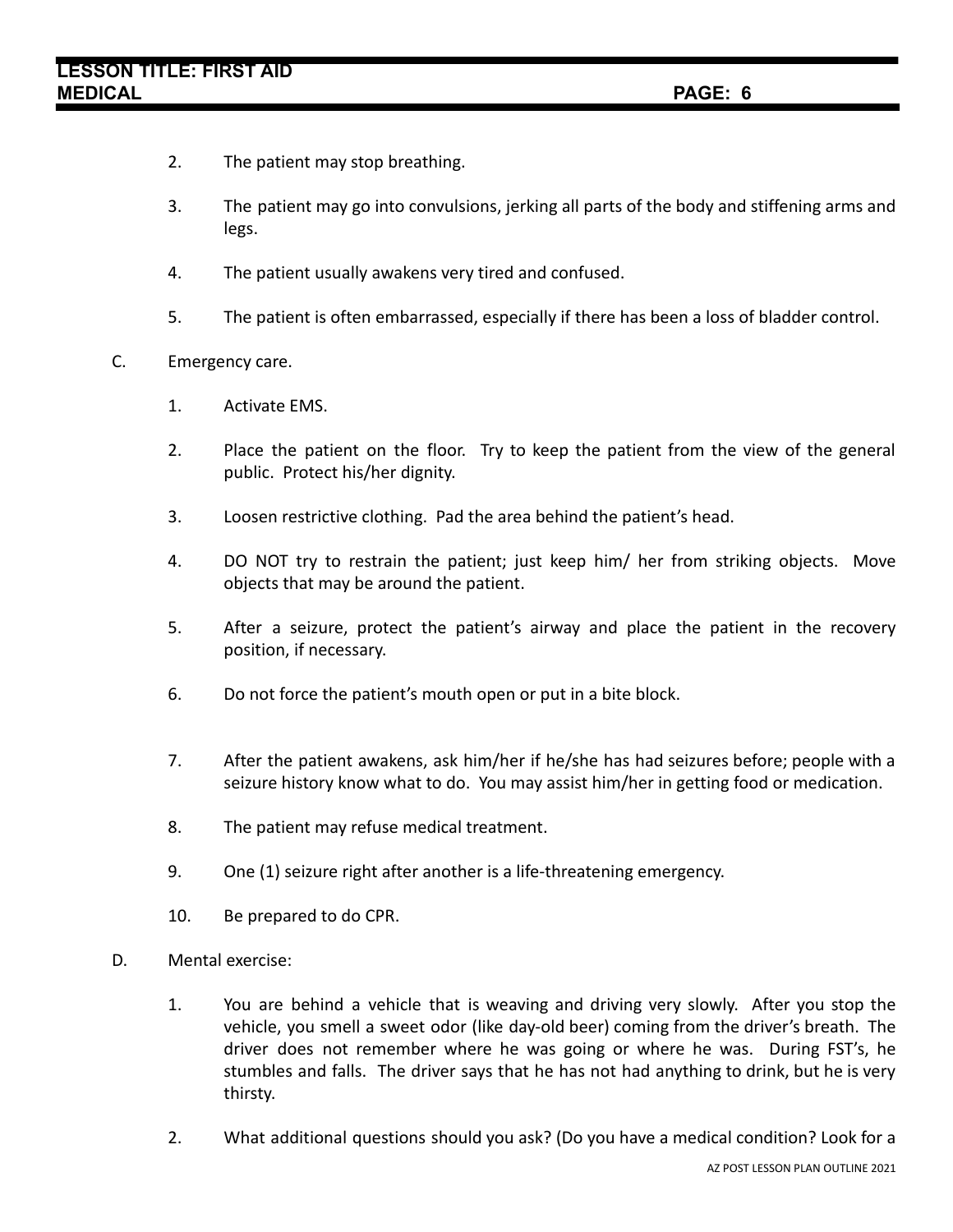- 2. The patient may stop breathing.
- 3. The patient may go into convulsions, jerking all parts of the body and stiffening arms and legs.
- 4. The patient usually awakens very tired and confused.
- 5. The patient is often embarrassed, especially if there has been a loss of bladder control.
- C. Emergency care.
	- 1. Activate EMS.
	- 2. Place the patient on the floor. Try to keep the patient from the view of the general public. Protect his/her dignity.
	- 3. Loosen restrictive clothing. Pad the area behind the patient's head.
	- 4. DO NOT try to restrain the patient; just keep him/ her from striking objects. Move objects that may be around the patient.
	- 5. After a seizure, protect the patient's airway and place the patient in the recovery position, if necessary.
	- 6. Do not force the patient's mouth open or put in a bite block.
	- 7. After the patient awakens, ask him/her if he/she has had seizures before; people with a seizure history know what to do. You may assist him/her in getting food or medication.
	- 8. The patient may refuse medical treatment.
	- 9. One (1) seizure right after another is a life-threatening emergency.
	- 10. Be prepared to do CPR.
- D. Mental exercise:
	- 1. You are behind a vehicle that is weaving and driving very slowly. After you stop the vehicle, you smell a sweet odor (like day-old beer) coming from the driver's breath. The driver does not remember where he was going or where he was. During FST's, he stumbles and falls. The driver says that he has not had anything to drink, but he is very thirsty.
	- 2. What additional questions should you ask? (Do you have a medical condition? Look for a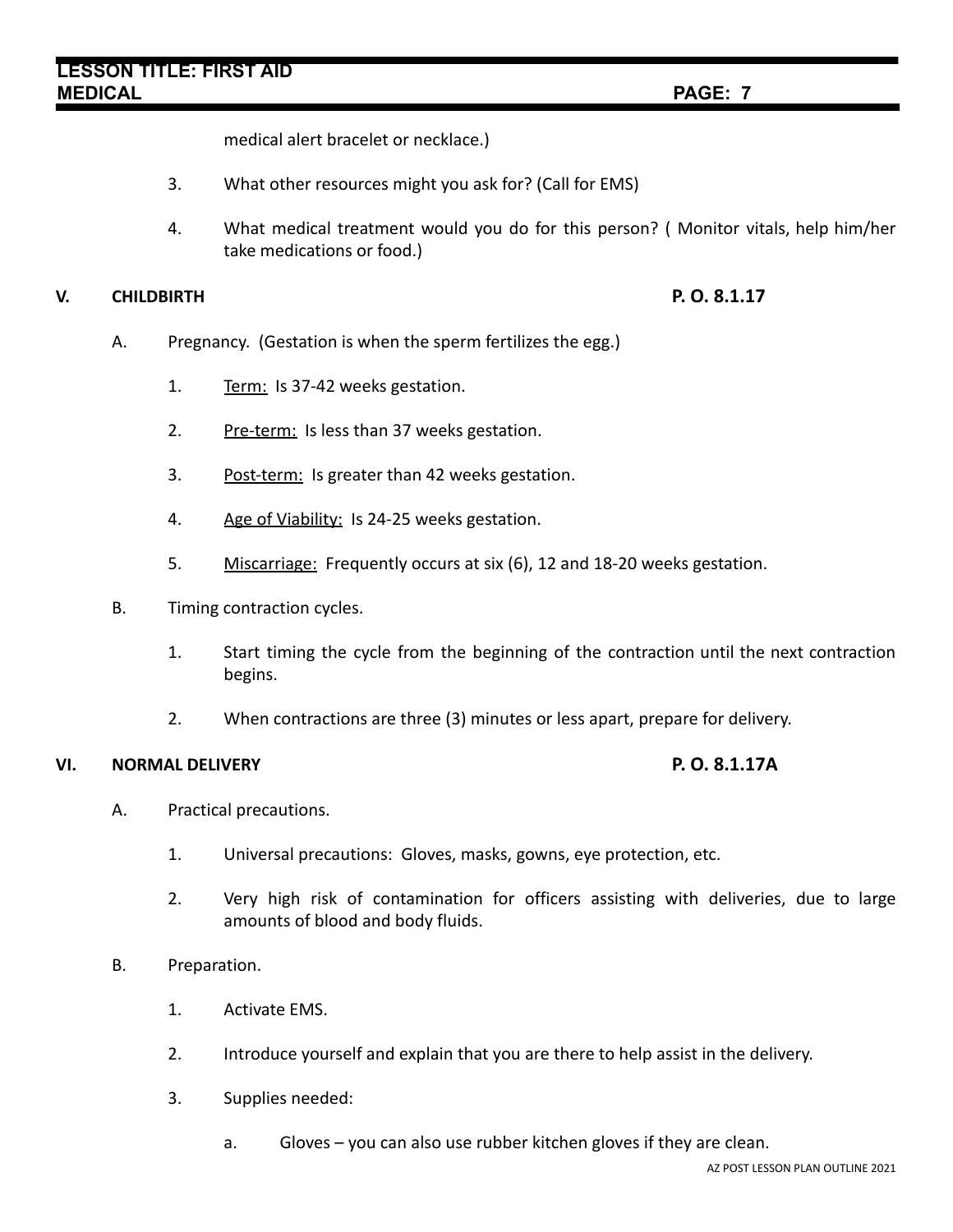medical alert bracelet or necklace.)

- 3. What other resources might you ask for? (Call for EMS)
- 4. What medical treatment would you do for this person? ( Monitor vitals, help him/her take medications or food.)

### **V. CHILDBIRTH P. O. 8.1.17**

- A. Pregnancy. (Gestation is when the sperm fertilizes the egg.)
	- 1. Term: Is 37-42 weeks gestation.
	- 2. Pre-term: Is less than 37 weeks gestation.
	- 3. Post-term: Is greater than 42 weeks gestation.
	- 4. Age of Viability: Is 24-25 weeks gestation.
	- 5. Miscarriage: Frequently occurs at six (6), 12 and 18-20 weeks gestation.
- B. Timing contraction cycles.
	- 1. Start timing the cycle from the beginning of the contraction until the next contraction begins.
	- 2. When contractions are three (3) minutes or less apart, prepare for delivery.

### **VI. NORMAL DELIVERY P. O. 8.1.17A**

- A. Practical precautions.
	- 1. Universal precautions: Gloves, masks, gowns, eye protection, etc.
	- 2. Very high risk of contamination for officers assisting with deliveries, due to large amounts of blood and body fluids.

### B. Preparation.

- 1. Activate EMS.
- 2. Introduce yourself and explain that you are there to help assist in the delivery.
- 3. Supplies needed:
	- a. Gloves you can also use rubber kitchen gloves if they are clean.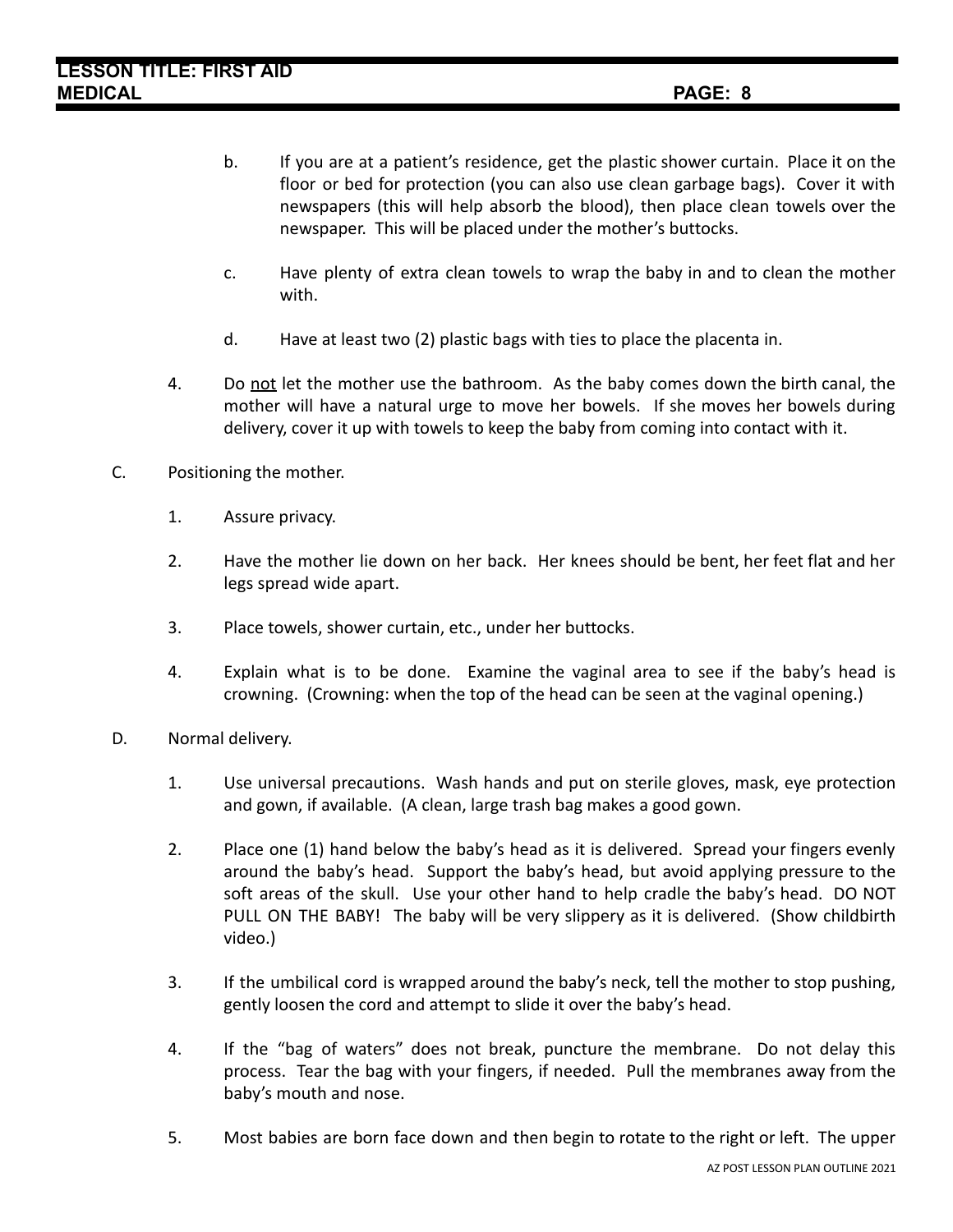- b. If you are at a patient's residence, get the plastic shower curtain. Place it on the floor or bed for protection (you can also use clean garbage bags). Cover it with newspapers (this will help absorb the blood), then place clean towels over the newspaper. This will be placed under the mother's buttocks.
- c. Have plenty of extra clean towels to wrap the baby in and to clean the mother with.
- d. Have at least two (2) plastic bags with ties to place the placenta in.
- 4. Do not let the mother use the bathroom. As the baby comes down the birth canal, the mother will have a natural urge to move her bowels. If she moves her bowels during delivery, cover it up with towels to keep the baby from coming into contact with it.
- C. Positioning the mother.
	- 1. Assure privacy.
	- 2. Have the mother lie down on her back. Her knees should be bent, her feet flat and her legs spread wide apart.
	- 3. Place towels, shower curtain, etc., under her buttocks.
	- 4. Explain what is to be done. Examine the vaginal area to see if the baby's head is crowning. (Crowning: when the top of the head can be seen at the vaginal opening.)
- D. Normal delivery.
	- 1. Use universal precautions. Wash hands and put on sterile gloves, mask, eye protection and gown, if available. (A clean, large trash bag makes a good gown.
	- 2. Place one (1) hand below the baby's head as it is delivered. Spread your fingers evenly around the baby's head. Support the baby's head, but avoid applying pressure to the soft areas of the skull. Use your other hand to help cradle the baby's head. DO NOT PULL ON THE BABY! The baby will be very slippery as it is delivered. (Show childbirth video.)
	- 3. If the umbilical cord is wrapped around the baby's neck, tell the mother to stop pushing, gently loosen the cord and attempt to slide it over the baby's head.
	- 4. If the "bag of waters" does not break, puncture the membrane. Do not delay this process. Tear the bag with your fingers, if needed. Pull the membranes away from the baby's mouth and nose.
	- 5. Most babies are born face down and then begin to rotate to the right or left. The upper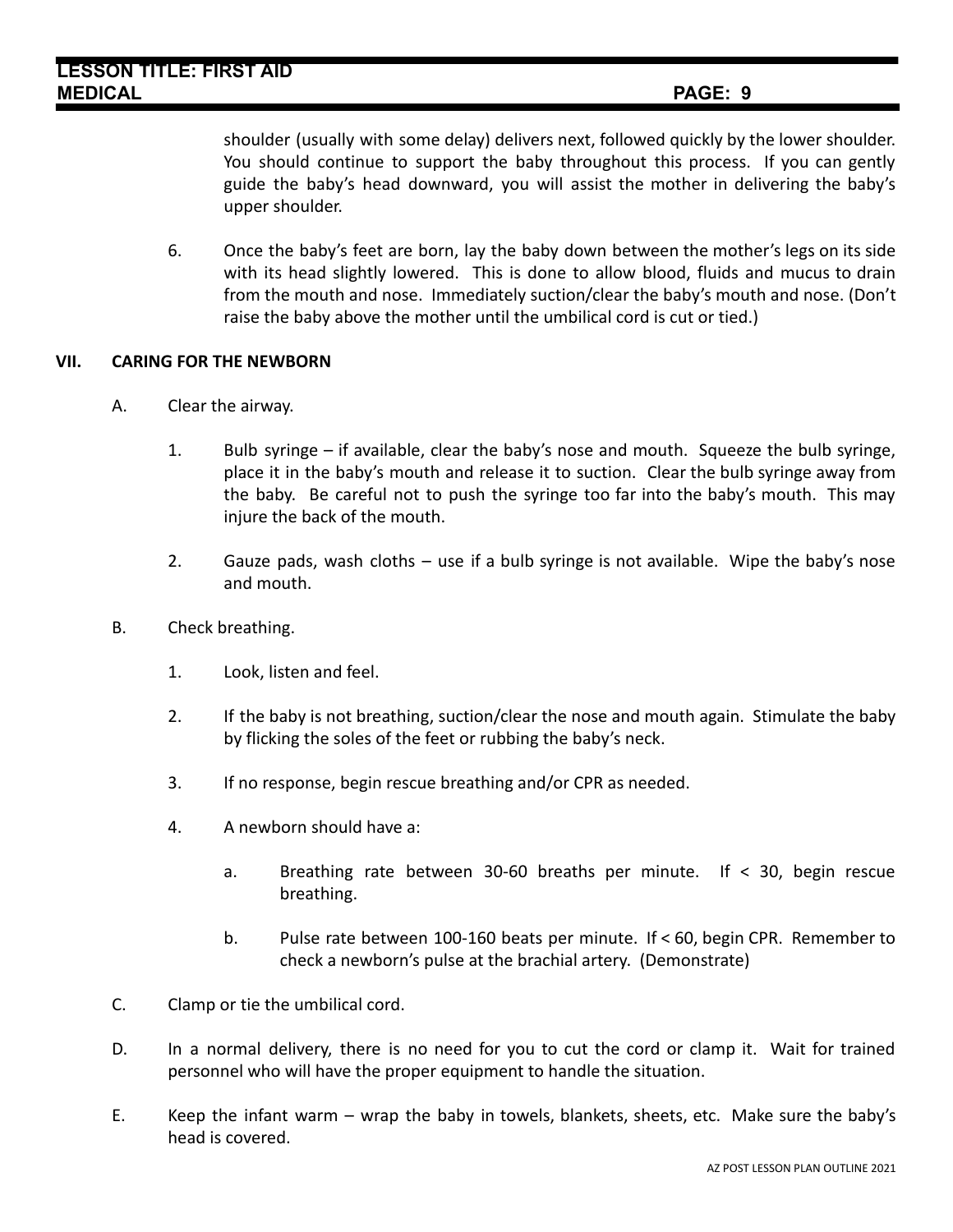shoulder (usually with some delay) delivers next, followed quickly by the lower shoulder. You should continue to support the baby throughout this process. If you can gently guide the baby's head downward, you will assist the mother in delivering the baby's upper shoulder.

6. Once the baby's feet are born, lay the baby down between the mother's legs on its side with its head slightly lowered. This is done to allow blood, fluids and mucus to drain from the mouth and nose. Immediately suction/clear the baby's mouth and nose. (Don't raise the baby above the mother until the umbilical cord is cut or tied.)

### **VII. CARING FOR THE NEWBORN**

- A. Clear the airway.
	- 1. Bulb syringe if available, clear the baby's nose and mouth. Squeeze the bulb syringe, place it in the baby's mouth and release it to suction. Clear the bulb syringe away from the baby. Be careful not to push the syringe too far into the baby's mouth. This may injure the back of the mouth.
	- 2. Gauze pads, wash cloths use if a bulb syringe is not available. Wipe the baby's nose and mouth.
- B. Check breathing.
	- 1. Look, listen and feel.
	- 2. If the baby is not breathing, suction/clear the nose and mouth again. Stimulate the baby by flicking the soles of the feet or rubbing the baby's neck.
	- 3. If no response, begin rescue breathing and/or CPR as needed.
	- 4. A newborn should have a:
		- a. Breathing rate between 30-60 breaths per minute. If < 30, begin rescue breathing.
		- b. Pulse rate between 100-160 beats per minute. If < 60, begin CPR. Remember to check a newborn's pulse at the brachial artery. (Demonstrate)
- C. Clamp or tie the umbilical cord.
- D. In a normal delivery, there is no need for you to cut the cord or clamp it. Wait for trained personnel who will have the proper equipment to handle the situation.
- E. Keep the infant warm wrap the baby in towels, blankets, sheets, etc. Make sure the baby's head is covered.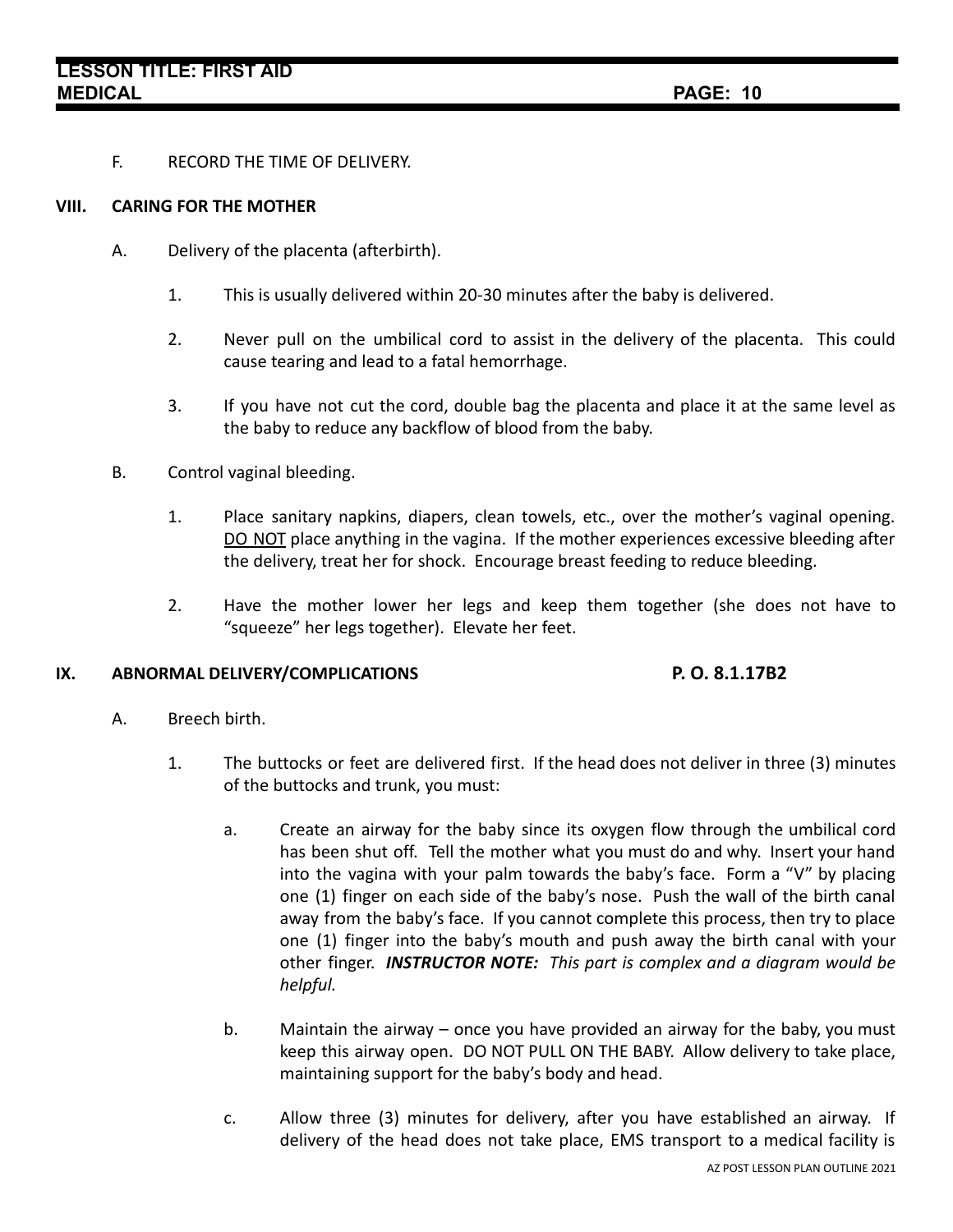F. RECORD THE TIME OF DELIVERY.

### **VIII. CARING FOR THE MOTHER**

- A. Delivery of the placenta (afterbirth).
	- 1. This is usually delivered within 20-30 minutes after the baby is delivered.
	- 2. Never pull on the umbilical cord to assist in the delivery of the placenta. This could cause tearing and lead to a fatal hemorrhage.
	- 3. If you have not cut the cord, double bag the placenta and place it at the same level as the baby to reduce any backflow of blood from the baby.
- B. Control vaginal bleeding.
	- 1. Place sanitary napkins, diapers, clean towels, etc., over the mother's vaginal opening. DO NOT place anything in the vagina. If the mother experiences excessive bleeding after the delivery, treat her for shock. Encourage breast feeding to reduce bleeding.
	- 2. Have the mother lower her legs and keep them together (she does not have to "squeeze" her legs together). Elevate her feet.

### **IX. ABNORMAL DELIVERY/COMPLICATIONS P. O. 8.1.17B2**

- A. Breech birth.
	- 1. The buttocks or feet are delivered first. If the head does not deliver in three (3) minutes of the buttocks and trunk, you must:
		- a. Create an airway for the baby since its oxygen flow through the umbilical cord has been shut off. Tell the mother what you must do and why. Insert your hand into the vagina with your palm towards the baby's face. Form a "V" by placing one (1) finger on each side of the baby's nose. Push the wall of the birth canal away from the baby's face. If you cannot complete this process, then try to place one (1) finger into the baby's mouth and push away the birth canal with your other finger. *INSTRUCTOR NOTE: This part is complex and a diagram would be helpful.*
		- b. Maintain the airway once you have provided an airway for the baby, you must keep this airway open. DO NOT PULL ON THE BABY. Allow delivery to take place, maintaining support for the baby's body and head.
		- c. Allow three (3) minutes for delivery, after you have established an airway. If delivery of the head does not take place, EMS transport to a medical facility is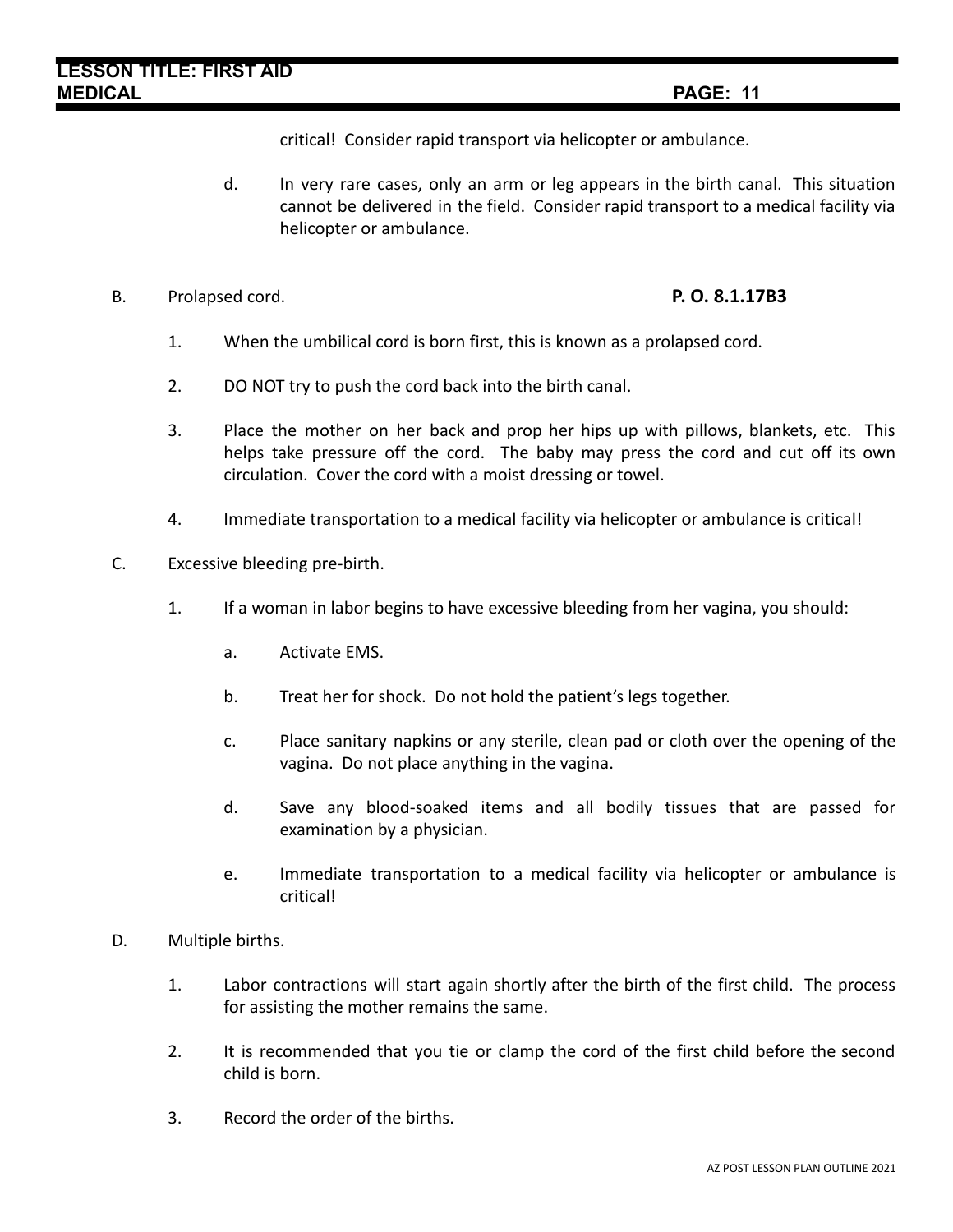critical! Consider rapid transport via helicopter or ambulance.

- d. In very rare cases, only an arm or leg appears in the birth canal. This situation cannot be delivered in the field. Consider rapid transport to a medical facility via helicopter or ambulance.
- B. Prolapsed cord. **P. O. 8.1.17B3**

- 1. When the umbilical cord is born first, this is known as a prolapsed cord.
- 2. DO NOT try to push the cord back into the birth canal.
- 3. Place the mother on her back and prop her hips up with pillows, blankets, etc. This helps take pressure off the cord. The baby may press the cord and cut off its own circulation. Cover the cord with a moist dressing or towel.
- 4. Immediate transportation to a medical facility via helicopter or ambulance is critical!
- C. Excessive bleeding pre-birth.
	- 1. If a woman in labor begins to have excessive bleeding from her vagina, you should:
		- a. Activate EMS.
		- b. Treat her for shock. Do not hold the patient's legs together.
		- c. Place sanitary napkins or any sterile, clean pad or cloth over the opening of the vagina. Do not place anything in the vagina.
		- d. Save any blood-soaked items and all bodily tissues that are passed for examination by a physician.
		- e. Immediate transportation to a medical facility via helicopter or ambulance is critical!
- D. Multiple births.
	- 1. Labor contractions will start again shortly after the birth of the first child. The process for assisting the mother remains the same.
	- 2. It is recommended that you tie or clamp the cord of the first child before the second child is born.
	- 3. Record the order of the births.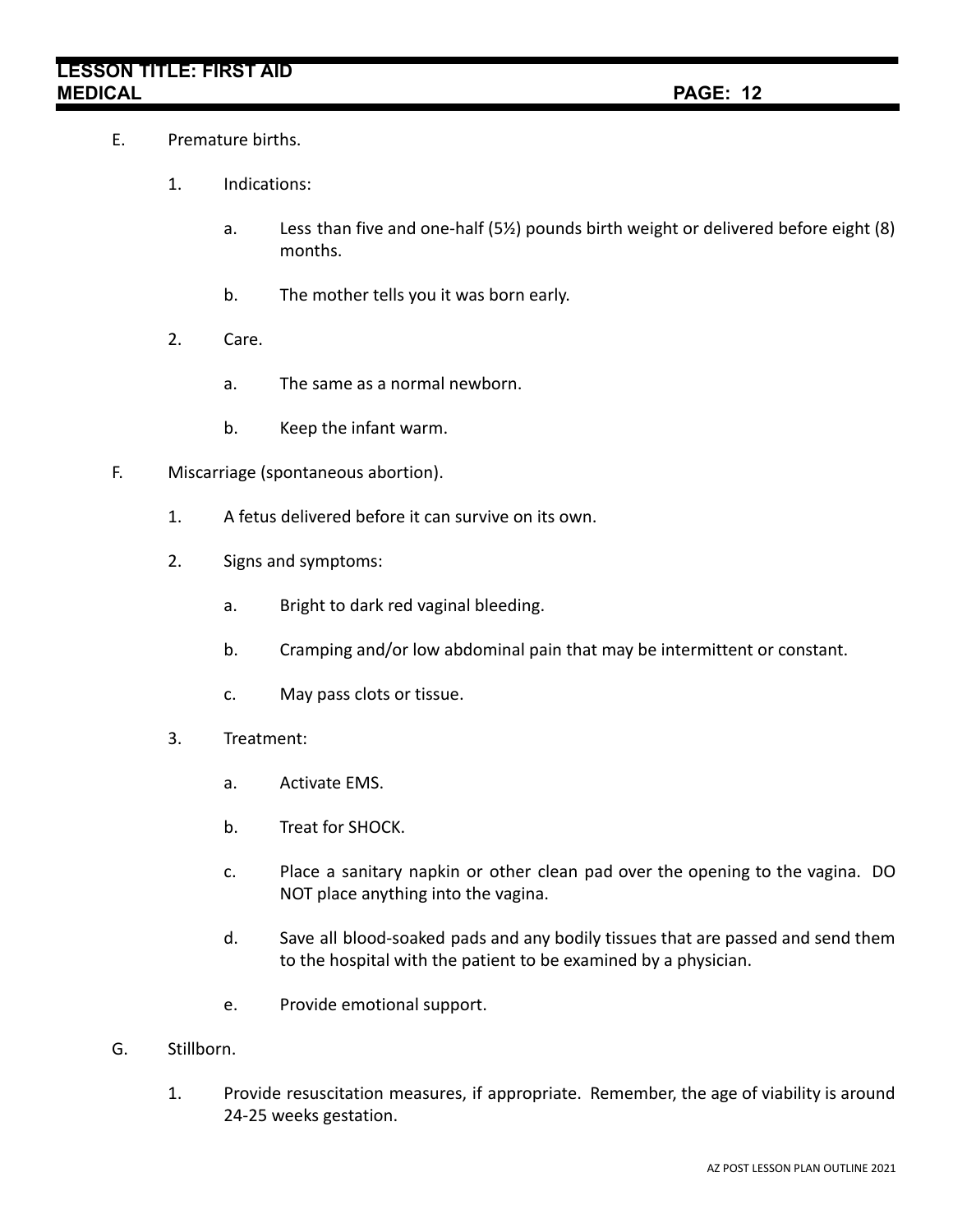# **LESSON TITLE: FIRST AID MEDICAL PAGE: 12**

- E. Premature births.
	- 1. Indications:
		- a. Less than five and one-half (5½) pounds birth weight or delivered before eight (8) months.
		- b. The mother tells you it was born early.
	- 2. Care.
		- a. The same as a normal newborn.
		- b. Keep the infant warm.
- F. Miscarriage (spontaneous abortion).
	- 1. A fetus delivered before it can survive on its own.
	- 2. Signs and symptoms:
		- a. Bright to dark red vaginal bleeding.
		- b. Cramping and/or low abdominal pain that may be intermittent or constant.
		- c. May pass clots or tissue.
	- 3. Treatment:
		- a. Activate EMS.
		- b. Treat for SHOCK.
		- c. Place a sanitary napkin or other clean pad over the opening to the vagina. DO NOT place anything into the vagina.
		- d. Save all blood-soaked pads and any bodily tissues that are passed and send them to the hospital with the patient to be examined by a physician.
		- e. Provide emotional support.
- G. Stillborn.
	- 1. Provide resuscitation measures, if appropriate. Remember, the age of viability is around 24-25 weeks gestation.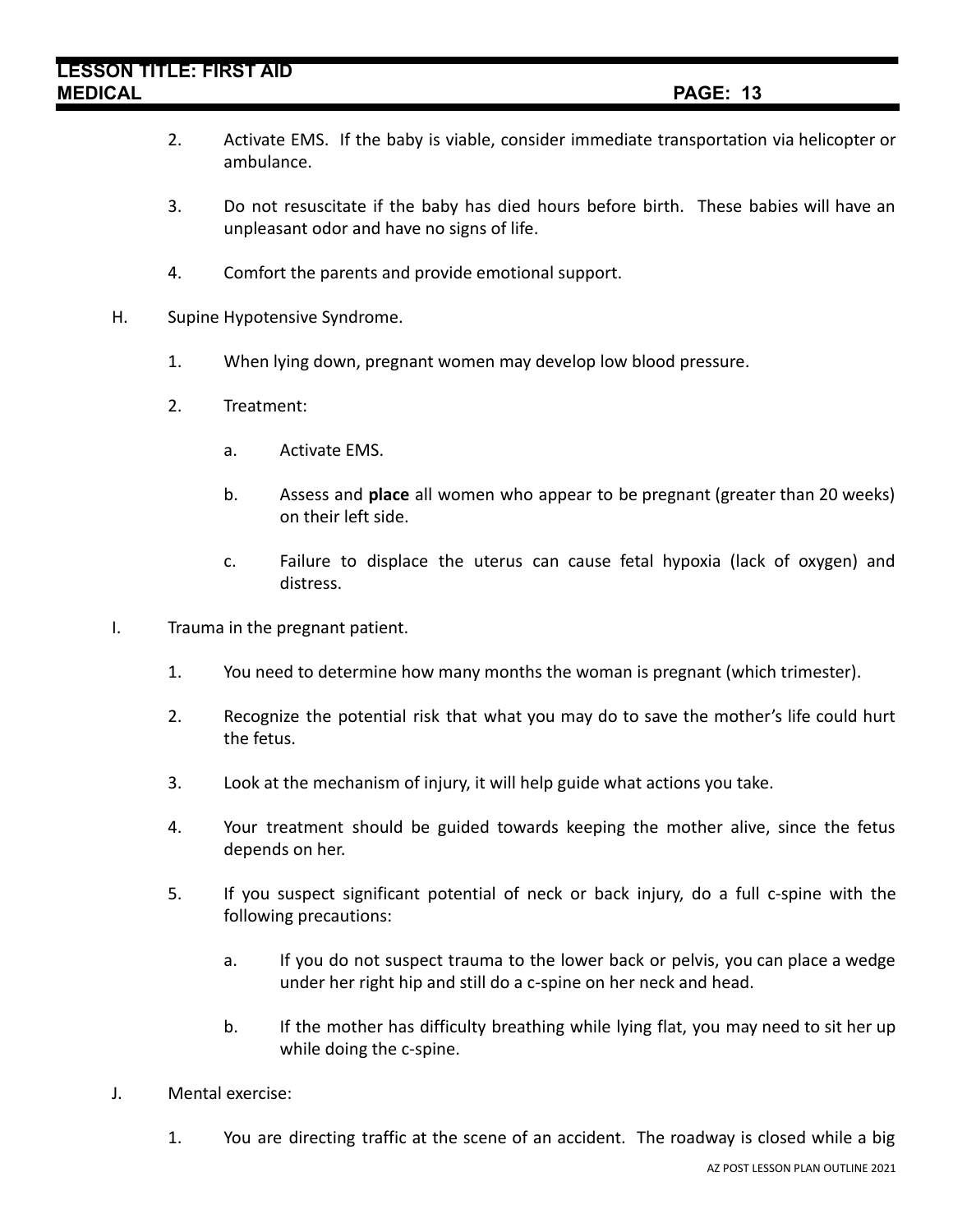## **LESSON TITLE: FIRST AID MEDICAL PAGE: 13**

- 2. Activate EMS. If the baby is viable, consider immediate transportation via helicopter or ambulance.
- 3. Do not resuscitate if the baby has died hours before birth. These babies will have an unpleasant odor and have no signs of life.
- 4. Comfort the parents and provide emotional support.
- H. Supine Hypotensive Syndrome.
	- 1. When lying down, pregnant women may develop low blood pressure.
	- 2. Treatment:
		- a. Activate EMS.
		- b. Assess and **place** all women who appear to be pregnant (greater than 20 weeks) on their left side.
		- c. Failure to displace the uterus can cause fetal hypoxia (lack of oxygen) and distress.
- I. Trauma in the pregnant patient.
	- 1. You need to determine how many months the woman is pregnant (which trimester).
	- 2. Recognize the potential risk that what you may do to save the mother's life could hurt the fetus.
	- 3. Look at the mechanism of injury, it will help guide what actions you take.
	- 4. Your treatment should be guided towards keeping the mother alive, since the fetus depends on her.
	- 5. If you suspect significant potential of neck or back injury, do a full c-spine with the following precautions:
		- a. If you do not suspect trauma to the lower back or pelvis, you can place a wedge under her right hip and still do a c-spine on her neck and head.
		- b. If the mother has difficulty breathing while lying flat, you may need to sit her up while doing the c-spine.
- J. Mental exercise:
	- 1. You are directing traffic at the scene of an accident. The roadway is closed while a big